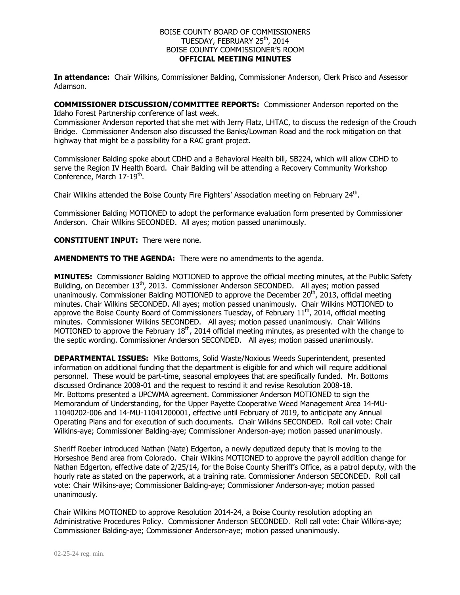## BOISE COUNTY BOARD OF COMMISSIONERS TUESDAY, FEBRUARY 25<sup>th</sup>, 2014 BOISE COUNTY COMMISSIONER'S ROOM **OFFICIAL MEETING MINUTES**

**In attendance:** Chair Wilkins, Commissioner Balding, Commissioner Anderson, Clerk Prisco and Assessor Adamson.

**COMMISSIONER DISCUSSION/COMMITTEE REPORTS:** Commissioner Anderson reported on the Idaho Forest Partnership conference of last week.

Commissioner Anderson reported that she met with Jerry Flatz, LHTAC, to discuss the redesign of the Crouch Bridge. Commissioner Anderson also discussed the Banks/Lowman Road and the rock mitigation on that highway that might be a possibility for a RAC grant project.

Commissioner Balding spoke about CDHD and a Behavioral Health bill, SB224, which will allow CDHD to serve the Region IV Health Board. Chair Balding will be attending a Recovery Community Workshop Conference, March 17-19<sup>th</sup>.

Chair Wilkins attended the Boise County Fire Fighters' Association meeting on February 24<sup>th</sup>.

Commissioner Balding MOTIONED to adopt the performance evaluation form presented by Commissioner Anderson. Chair Wilkins SECONDED. All ayes; motion passed unanimously.

**CONSTITUENT INPUT:** There were none.

**AMENDMENTS TO THE AGENDA:** There were no amendments to the agenda.

**MINUTES:** Commissioner Balding MOTIONED to approve the official meeting minutes, at the Public Safety Building, on December 13<sup>th</sup>, 2013. Commissioner Anderson SECONDED. All ayes; motion passed unanimously. Commissioner Balding MOTIONED to approve the December  $20<sup>th</sup>$ , 2013, official meeting minutes. Chair Wilkins SECONDED. All ayes; motion passed unanimously. Chair Wilkins MOTIONED to approve the Boise County Board of Commissioners Tuesday, of February  $11<sup>th</sup>$ , 2014, official meeting minutes. Commissioner Wilkins SECONDED. All ayes; motion passed unanimously. Chair Wilkins MOTIONED to approve the February 18<sup>th</sup>, 2014 official meeting minutes, as presented with the change to the septic wording. Commissioner Anderson SECONDED. All ayes; motion passed unanimously.

**DEPARTMENTAL ISSUES:** Mike Bottoms, Solid Waste/Noxious Weeds Superintendent, presented information on additional funding that the department is eligible for and which will require additional personnel. These would be part-time, seasonal employees that are specifically funded. Mr. Bottoms discussed Ordinance 2008-01 and the request to rescind it and revise Resolution 2008-18. Mr. Bottoms presented a UPCWMA agreement. Commissioner Anderson MOTIONED to sign the Memorandum of Understanding, for the Upper Payette Cooperative Weed Management Area 14-MU-11040202-006 and 14-MU-11041200001, effective until February of 2019, to anticipate any Annual Operating Plans and for execution of such documents. Chair Wilkins SECONDED. Roll call vote: Chair Wilkins-aye; Commissioner Balding-aye; Commissioner Anderson-aye; motion passed unanimously.

Sheriff Roeber introduced Nathan (Nate) Edgerton, a newly deputized deputy that is moving to the Horseshoe Bend area from Colorado. Chair Wilkins MOTIONED to approve the payroll addition change for Nathan Edgerton, effective date of 2/25/14, for the Boise County Sheriff's Office, as a patrol deputy, with the hourly rate as stated on the paperwork, at a training rate. Commissioner Anderson SECONDED. Roll call vote: Chair Wilkins-aye; Commissioner Balding-aye; Commissioner Anderson-aye; motion passed unanimously.

Chair Wilkins MOTIONED to approve Resolution 2014-24, a Boise County resolution adopting an Administrative Procedures Policy. Commissioner Anderson SECONDED. Roll call vote: Chair Wilkins-aye; Commissioner Balding-aye; Commissioner Anderson-aye; motion passed unanimously.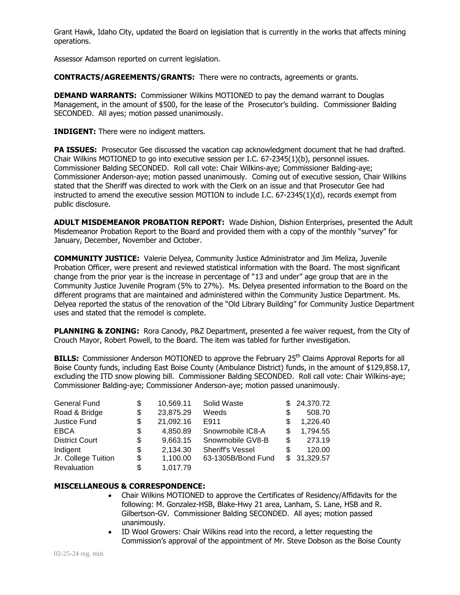Grant Hawk, Idaho City, updated the Board on legislation that is currently in the works that affects mining operations.

Assessor Adamson reported on current legislation.

**CONTRACTS/AGREEMENTS/GRANTS:** There were no contracts, agreements or grants.

**DEMAND WARRANTS:** Commissioner Wilkins MOTIONED to pay the demand warrant to Douglas Management, in the amount of \$500, for the lease of the Prosecutor's building. Commissioner Balding SECONDED. All ayes; motion passed unanimously.

**INDIGENT:** There were no indigent matters.

**PA ISSUES:** Prosecutor Gee discussed the vacation cap acknowledgment document that he had drafted. Chair Wilkins MOTIONED to go into executive session per I.C. 67-2345(1)(b), personnel issues. Commissioner Balding SECONDED. Roll call vote: Chair Wilkins-aye; Commissioner Balding-aye; Commissioner Anderson-aye; motion passed unanimously. Coming out of executive session, Chair Wilkins stated that the Sheriff was directed to work with the Clerk on an issue and that Prosecutor Gee had instructed to amend the executive session MOTION to include I.C. 67-2345(1)(d), records exempt from public disclosure.

**ADULT MISDEMEANOR PROBATION REPORT:** Wade Dishion, Dishion Enterprises, presented the Adult Misdemeanor Probation Report to the Board and provided them with a copy of the monthly "survey" for January, December, November and October.

**COMMUNITY JUSTICE:** Valerie Delyea, Community Justice Administrator and Jim Meliza, Juvenile Probation Officer, were present and reviewed statistical information with the Board. The most significant change from the prior year is the increase in percentage of "13 and under" age group that are in the Community Justice Juvenile Program (5% to 27%). Ms. Delyea presented information to the Board on the different programs that are maintained and administered within the Community Justice Department. Ms. Delyea reported the status of the renovation of the "Old Library Building" for Community Justice Department uses and stated that the remodel is complete.

**PLANNING & ZONING:** Rora Canody, P&Z Department, presented a fee waiver request, from the City of Crouch Mayor, Robert Powell, to the Board. The item was tabled for further investigation.

**BILLS:** Commissioner Anderson MOTIONED to approve the February 25<sup>th</sup> Claims Approval Reports for all Boise County funds, including East Boise County (Ambulance District) funds, in the amount of \$129,858.17, excluding the ITD snow plowing bill. Commissioner Balding SECONDED. Roll call vote: Chair Wilkins-aye; Commissioner Balding-aye; Commissioner Anderson-aye; motion passed unanimously.

| <b>General Fund</b>   | \$ | 10,569.11 | Solid Waste             |   | \$24,370.72 |
|-----------------------|----|-----------|-------------------------|---|-------------|
| Road & Bridge         | \$ | 23,875.29 | Weeds                   |   | 508.70      |
| Justice Fund          | S  | 21,092.16 | E911                    | S | 1,226.40    |
| <b>EBCA</b>           | S  | 4,850.89  | Snowmobile IC8-A        | S | 1,794.55    |
| <b>District Court</b> | \$ | 9,663.15  | Snowmobile GV8-B        | S | 273.19      |
| Indigent              | S  | 2,134.30  | <b>Sheriff's Vessel</b> | S | 120.00      |
| Jr. College Tuition   | \$ | 1,100.00  | 63-1305B/Bond Fund      |   | \$31,329.57 |
| Revaluation           | \$ | 1,017.79  |                         |   |             |

## **MISCELLANEOUS & CORRESPONDENCE:**

- Chair Wilkins MOTIONED to approve the Certificates of Residency/Affidavits for the following: M. Gonzalez-HSB, Blake-Hwy 21 area, Lanham, S. Lane, HSB and R. Gilbertson-GV. Commissioner Balding SECONDED. All ayes; motion passed unanimously.
- ID Wool Growers: Chair Wilkins read into the record, a letter requesting the Commission's approval of the appointment of Mr. Steve Dobson as the Boise County